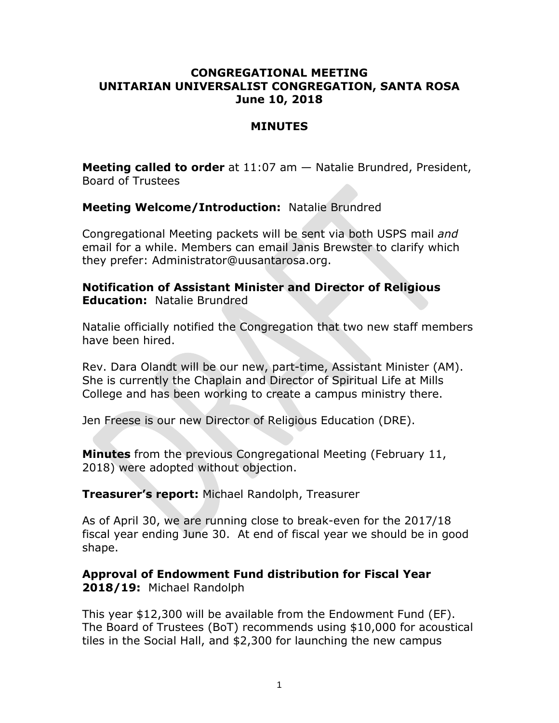### **CONGREGATIONAL MEETING UNITARIAN UNIVERSALIST CONGREGATION, SANTA ROSA June 10, 2018**

#### **MINUTES**

**Meeting called to order** at 11:07 am — Natalie Brundred, President, Board of Trustees

**Meeting Welcome/Introduction:** Natalie Brundred

Congregational Meeting packets will be sent via both USPS mail *and* email for a while. Members can email Janis Brewster to clarify which they prefer: Administrator@uusantarosa.org.

**Notification of Assistant Minister and Director of Religious Education:** Natalie Brundred

Natalie officially notified the Congregation that two new staff members have been hired.

Rev. Dara Olandt will be our new, part-time, Assistant Minister (AM). She is currently the Chaplain and Director of Spiritual Life at Mills College and has been working to create a campus ministry there.

Jen Freese is our new Director of Religious Education (DRE).

**Minutes** from the previous Congregational Meeting (February 11, 2018) were adopted without objection.

**Treasurer's report:** Michael Randolph, Treasurer

As of April 30, we are running close to break-even for the 2017/18 fiscal year ending June 30. At end of fiscal year we should be in good shape.

**Approval of Endowment Fund distribution for Fiscal Year 2018/19:** Michael Randolph

This year \$12,300 will be available from the Endowment Fund (EF). The Board of Trustees (BoT) recommends using \$10,000 for acoustical tiles in the Social Hall, and \$2,300 for launching the new campus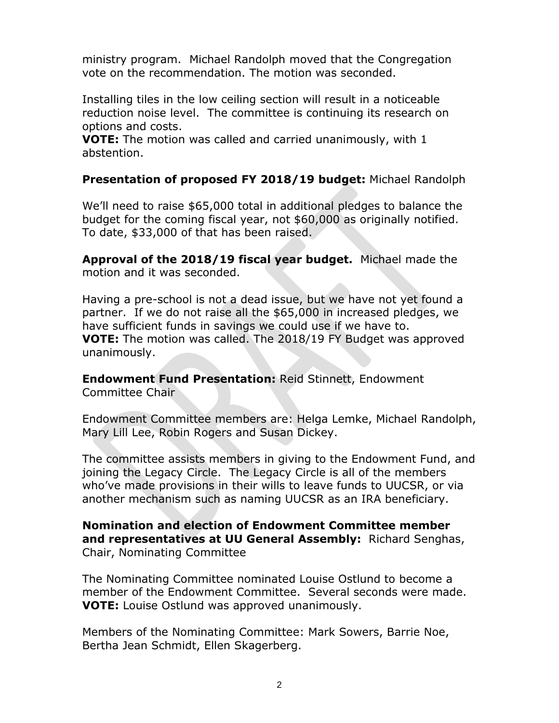ministry program. Michael Randolph moved that the Congregation vote on the recommendation. The motion was seconded.

Installing tiles in the low ceiling section will result in a noticeable reduction noise level. The committee is continuing its research on options and costs.

**VOTE:** The motion was called and carried unanimously, with 1 abstention.

### **Presentation of proposed FY 2018/19 budget:** Michael Randolph

We'll need to raise \$65,000 total in additional pledges to balance the budget for the coming fiscal year, not \$60,000 as originally notified. To date, \$33,000 of that has been raised.

**Approval of the 2018/19 fiscal year budget.** Michael made the motion and it was seconded.

Having a pre-school is not a dead issue, but we have not yet found a partner. If we do not raise all the \$65,000 in increased pledges, we have sufficient funds in savings we could use if we have to. **VOTE:** The motion was called. The 2018/19 FY Budget was approved unanimously.

**Endowment Fund Presentation:** Reid Stinnett, Endowment Committee Chair

Endowment Committee members are: Helga Lemke, Michael Randolph, Mary Lill Lee, Robin Rogers and Susan Dickey.

The committee assists members in giving to the Endowment Fund, and joining the Legacy Circle. The Legacy Circle is all of the members who've made provisions in their wills to leave funds to UUCSR, or via another mechanism such as naming UUCSR as an IRA beneficiary.

**Nomination and election of Endowment Committee member and representatives at UU General Assembly:** Richard Senghas, Chair, Nominating Committee

The Nominating Committee nominated Louise Ostlund to become a member of the Endowment Committee. Several seconds were made. **VOTE:** Louise Ostlund was approved unanimously.

Members of the Nominating Committee: Mark Sowers, Barrie Noe, Bertha Jean Schmidt, Ellen Skagerberg.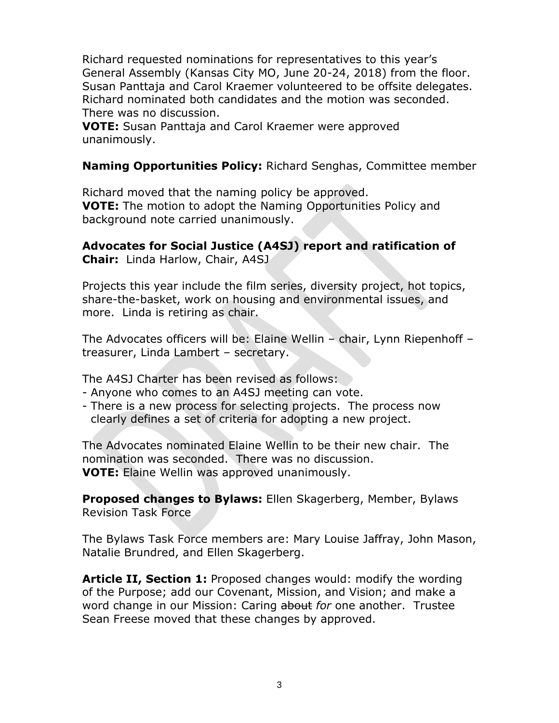Richard requested nominations for representatives to this year's General Assembly (Kansas City MO, June 20-24, 2018) from the floor. Susan Panttaja and Carol Kraemer volunteered to be offsite delegates. Richard nominated both candidates and the motion was seconded. There was no discussion.

**VOTE:** Susan Panttaja and Carol Kraemer were approved unanimously.

**Naming Opportunities Policy:** Richard Senghas, Committee member

Richard moved that the naming policy be approved. **VOTE:** The motion to adopt the Naming Opportunities Policy and background note carried unanimously.

# **Advocates for Social Justice (A4SJ) report and ratification of**

**Chair:** Linda Harlow, Chair, A4SJ

Projects this year include the film series, diversity project, hot topics, share-the-basket, work on housing and environmental issues, and more. Linda is retiring as chair.

The Advocates officers will be: Elaine Wellin – chair, Lynn Riepenhoff – treasurer, Linda Lambert – secretary.

The A4SJ Charter has been revised as follows:

- Anyone who comes to an A4SJ meeting can vote.
- There is a new process for selecting projects. The process now clearly defines a set of criteria for adopting a new project.

The Advocates nominated Elaine Wellin to be their new chair. The nomination was seconded. There was no discussion. **VOTE:** Elaine Wellin was approved unanimously.

**Proposed changes to Bylaws:** Ellen Skagerberg, Member, Bylaws Revision Task Force

The Bylaws Task Force members are: Mary Louise Jaffray, John Mason, Natalie Brundred, and Ellen Skagerberg.

**Article II, Section 1:** Proposed changes would: modify the wording of the Purpose; add our Covenant, Mission, and Vision; and make a word change in our Mission: Caring about *for* one another. Trustee Sean Freese moved that these changes by approved.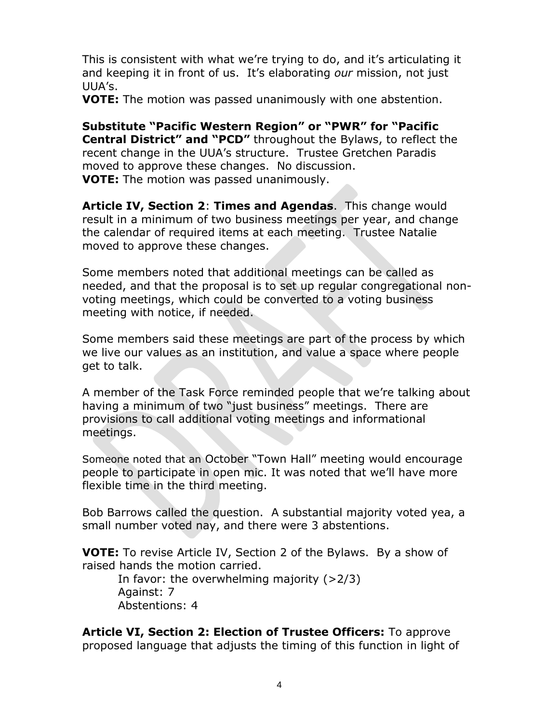This is consistent with what we're trying to do, and it's articulating it and keeping it in front of us. It's elaborating *our* mission, not just UUA's.

**VOTE:** The motion was passed unanimously with one abstention.

**Substitute "Pacific Western Region" or "PWR" for "Pacific Central District" and "PCD"** throughout the Bylaws, to reflect the recent change in the UUA's structure. Trustee Gretchen Paradis moved to approve these changes. No discussion. **VOTE:** The motion was passed unanimously.

**Article IV, Section 2**: **Times and Agendas**. This change would result in a minimum of two business meetings per year, and change the calendar of required items at each meeting. Trustee Natalie moved to approve these changes.

Some members noted that additional meetings can be called as needed, and that the proposal is to set up regular congregational nonvoting meetings, which could be converted to a voting business meeting with notice, if needed.

Some members said these meetings are part of the process by which we live our values as an institution, and value a space where people get to talk.

A member of the Task Force reminded people that we're talking about having a minimum of two "just business" meetings. There are provisions to call additional voting meetings and informational meetings.

Someone noted that an October "Town Hall" meeting would encourage people to participate in open mic. It was noted that we'll have more flexible time in the third meeting.

Bob Barrows called the question. A substantial majority voted yea, a small number voted nay, and there were 3 abstentions.

**VOTE:** To revise Article IV, Section 2 of the Bylaws. By a show of raised hands the motion carried.

In favor: the overwhelming majority  $(>2/3)$ Against: 7 Abstentions: 4

**Article VI, Section 2: Election of Trustee Officers:** To approve proposed language that adjusts the timing of this function in light of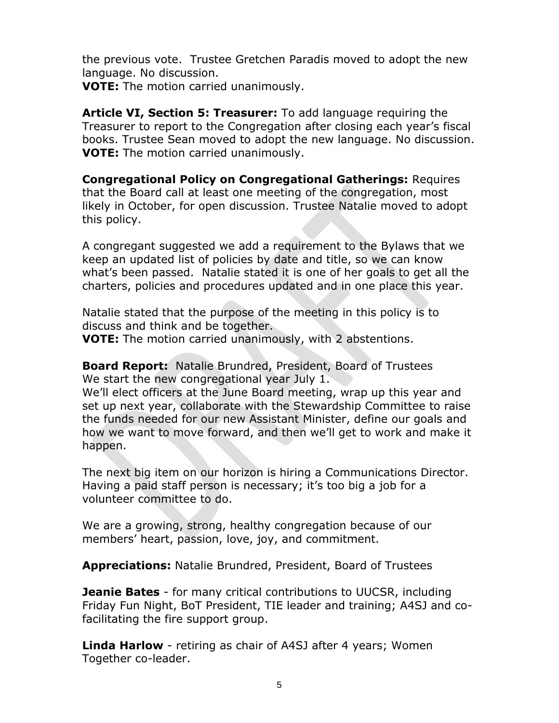the previous vote. Trustee Gretchen Paradis moved to adopt the new language. No discussion.

**VOTE:** The motion carried unanimously.

**Article VI, Section 5: Treasurer:** To add language requiring the Treasurer to report to the Congregation after closing each year's fiscal books. Trustee Sean moved to adopt the new language. No discussion. **VOTE:** The motion carried unanimously.

**Congregational Policy on Congregational Gatherings:** Requires that the Board call at least one meeting of the congregation, most likely in October, for open discussion. Trustee Natalie moved to adopt this policy.

A congregant suggested we add a requirement to the Bylaws that we keep an updated list of policies by date and title, so we can know what's been passed. Natalie stated it is one of her goals to get all the charters, policies and procedures updated and in one place this year.

Natalie stated that the purpose of the meeting in this policy is to discuss and think and be together.

**VOTE:** The motion carried unanimously, with 2 abstentions.

**Board Report:** Natalie Brundred, President, Board of Trustees We start the new congregational year July 1.

We'll elect officers at the June Board meeting, wrap up this year and set up next year, collaborate with the Stewardship Committee to raise the funds needed for our new Assistant Minister, define our goals and how we want to move forward, and then we'll get to work and make it happen.

The next big item on our horizon is hiring a Communications Director. Having a paid staff person is necessary; it's too big a job for a volunteer committee to do.

We are a growing, strong, healthy congregation because of our members' heart, passion, love, joy, and commitment.

**Appreciations:** Natalie Brundred, President, Board of Trustees

**Jeanie Bates** - for many critical contributions to UUCSR, including Friday Fun Night, BoT President, TIE leader and training; A4SJ and cofacilitating the fire support group.

**Linda Harlow** - retiring as chair of A4SJ after 4 years; Women Together co-leader.